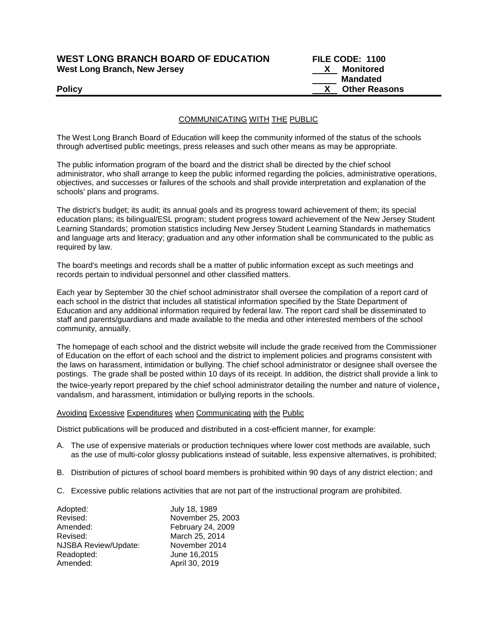## **WEST LONG BRANCH BOARD OF EDUCATION FILE CODE: 1100**  West Long Branch, New Jersey **X** Monitored

 **Mandated Policy X** Other Reasons

## COMMUNICATING WITH THE PUBLIC

The West Long Branch Board of Education will keep the community informed of the status of the schools through advertised public meetings, press releases and such other means as may be appropriate.

The public information program of the board and the district shall be directed by the chief school administrator, who shall arrange to keep the public informed regarding the policies, administrative operations, objectives, and successes or failures of the schools and shall provide interpretation and explanation of the schools' plans and programs.

The district's budget; its audit; its annual goals and its progress toward achievement of them; its special education plans; its bilingual/ESL program; student progress toward achievement of the New Jersey Student Learning Standards; promotion statistics including New Jersey Student Learning Standards in mathematics and language arts and literacy; graduation and any other information shall be communicated to the public as required by law.

The board's meetings and records shall be a matter of public information except as such meetings and records pertain to individual personnel and other classified matters.

Each year by September 30 the chief school administrator shall oversee the compilation of a report card of each school in the district that includes all statistical information specified by the State Department of Education and any additional information required by federal law. The report card shall be disseminated to staff and parents/guardians and made available to the media and other interested members of the school community, annually.

The homepage of each school and the district website will include the grade received from the Commissioner of Education on the effort of each school and the district to implement policies and programs consistent with the laws on harassment, intimidation or bullying. The chief school administrator or designee shall oversee the postings. The grade shall be posted within 10 days of its receipt. In addition, the district shall provide a link to the twice-yearly report prepared by the chief school administrator detailing the number and nature of violence, vandalism, and harassment, intimidation or bullying reports in the schools.

### Avoiding Excessive Expenditures when Communicating with the Public

District publications will be produced and distributed in a cost-efficient manner, for example:

- A. The use of expensive materials or production techniques where lower cost methods are available, such as the use of multi-color glossy publications instead of suitable, less expensive alternatives, is prohibited;
- B. Distribution of pictures of school board members is prohibited within 90 days of any district election; and
- C. Excessive public relations activities that are not part of the instructional program are prohibited.

| Adopted:             | July 18, 1989     |
|----------------------|-------------------|
| Revised:             | November 25, 2003 |
| Amended:             | February 24, 2009 |
| Revised:             | March 25, 2014    |
| NJSBA Review/Update: | November 2014     |
| Readopted:           | June 16,2015      |
| Amended:             | April 30, 2019    |